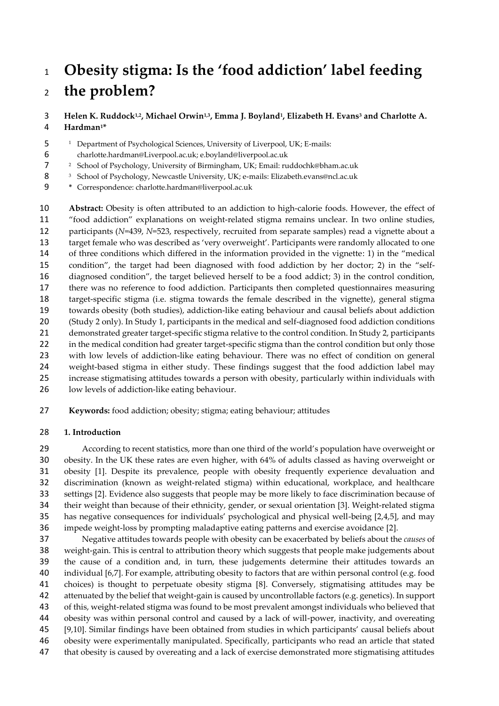# **Obesity stigma: Is the 'food addiction' label feeding the problem?**

**Helen K. Ruddock1,2 , Michael Orwin1,3 , Emma J. Boyland<sup>1</sup> , Elizabeth H. Evans<sup>3</sup> and Charlotte A. Hardman<sup>1</sup> \***

<sup>1</sup> Department of Psychological Sciences, University of Liverpool, UK; E-mails:

charlotte.hardman@Liverpool.ac.uk; e.boyland@liverpool.ac.uk

<sup>2</sup> School of Psychology, University of Birmingham, UK; Email: ruddochk@bham.ac.uk

- 8 <sup>3</sup> School of Psychology, Newcastle University, UK; e-mails: Elizabeth.evans@ncl.ac.uk
- **\*** Correspondence: charlotte.hardman@liverpool.ac.uk

 **Abstract:** Obesity is often attributed to an addiction to high-calorie foods. However, the effect of "food addiction" explanations on weight-related stigma remains unclear. In two online studies, participants (*N*=439, *N*=523, respectively, recruited from separate samples) read a vignette about a target female who was described as 'very overweight'. Participants were randomly allocated to one of three conditions which differed in the information provided in the vignette: 1) in the "medical condition", the target had been diagnosed with food addiction by her doctor; 2) in the "self- diagnosed condition", the target believed herself to be a food addict; 3) in the control condition, there was no reference to food addiction. Participants then completed questionnaires measuring target-specific stigma (i.e. stigma towards the female described in the vignette), general stigma towards obesity (both studies), addiction-like eating behaviour and causal beliefs about addiction (Study 2 only). In Study 1, participants in the medical and self-diagnosed food addiction conditions demonstrated greater target-specific stigma relative to the control condition. In Study 2, participants 22 in the medical condition had greater target-specific stigma than the control condition but only those with low levels of addiction-like eating behaviour. There was no effect of condition on general weight-based stigma in either study. These findings suggest that the food addiction label may increase stigmatising attitudes towards a person with obesity, particularly within individuals with low levels of addiction-like eating behaviour.

**Keywords:** food addiction; obesity; stigma; eating behaviour; attitudes

#### **1. Introduction**

 According to recent statistics, more than one third of the world's population have overweight or obesity. In the UK these rates are even higher, with 64% of adults classed as having overweight or obesity [1]. Despite its prevalence, people with obesity frequently experience devaluation and discrimination (known as weight-related stigma) within educational, workplace, and healthcare settings [2]. Evidence also suggests that people may be more likely to face discrimination because of their weight than because of their ethnicity, gender, or sexual orientation [3]. Weight-related stigma has negative consequences for individuals' psychological and physical well-being [2,4,5], and may impede weight-loss by prompting maladaptive eating patterns and exercise avoidance [2].

 Negative attitudes towards people with obesity can be exacerbated by beliefs about the *causes* of weight-gain. This is central to attribution theory which suggests that people make judgements about the cause of a condition and, in turn, these judgements determine their attitudes towards an individual [6,7]. For example, attributing obesity to factors that are within personal control (e.g. food choices) is thought to perpetuate obesity stigma [8]. Conversely, stigmatising attitudes may be attenuated by the belief that weight-gain is caused by uncontrollable factors (e.g. genetics). In support of this, weight-related stigma was found to be most prevalent amongst individuals who believed that obesity was within personal control and caused by a lack of will-power, inactivity, and overeating [9,10]. Similar findings have been obtained from studies in which participants' causal beliefs about obesity were experimentally manipulated. Specifically, participants who read an article that stated that obesity is caused by overeating and a lack of exercise demonstrated more stigmatising attitudes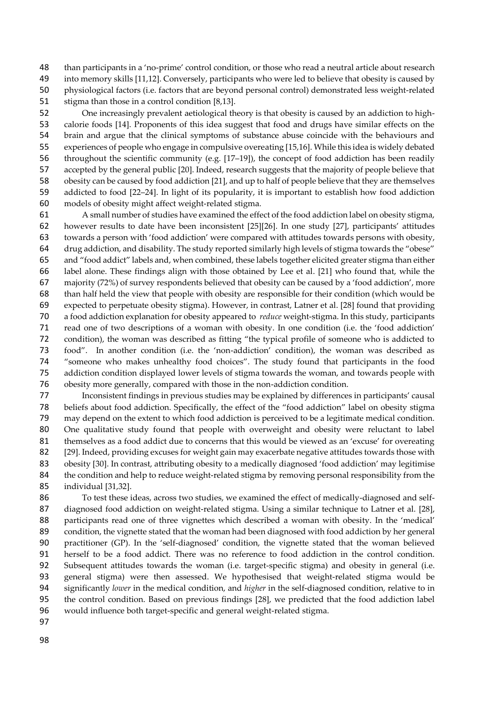48 than participants in a 'no-prime' control condition, or those who read a neutral article about research<br>49 into memory skills [11.12]. Conversely, participants who were led to believe that obesity is caused by into memory skills [11,12]. Conversely, participants who were led to believe that obesity is caused by physiological factors (i.e. factors that are beyond personal control) demonstrated less weight-related 51 stigma than those in a control condition [8,13].

52 One increasingly prevalent aetiological theory is that obesity is caused by an addiction to high-<br>53 calorie foods [14]. Proponents of this idea suggest that food and drugs have similar effects on the calorie foods [14]. Proponents of this idea suggest that food and drugs have similar effects on the brain and argue that the clinical symptoms of substance abuse coincide with the behaviours and experiences of people who engage in compulsive overeating [15,16]. While this idea is widely debated throughout the scientific community (e.g. [17–19]), the concept of food addiction has been readily accepted by the general public [20]. Indeed, research suggests that the majority of people believe that obesity can be caused by food addiction [21], and up to half of people believe that they are themselves addicted to food [22–24]. In light of its popularity, it is important to establish how food addiction models of obesity might affect weight-related stigma.

 A small number of studies have examined the effect of the food addiction label on obesity stigma, however results to date have been inconsistent [25][26]. In one study [27], participants' attitudes towards a person with 'food addiction' were compared with attitudes towards persons with obesity, drug addiction, and disability. The study reported similarly high levels of stigma towards the "obese" and "food addict" labels and, when combined, these labels together elicited greater stigma than either label alone. These findings align with those obtained by Lee et al. [21] who found that, while the majority (72%) of survey respondents believed that obesity can be caused by a 'food addiction', more than half held the view that people with obesity are responsible for their condition (which would be expected to perpetuate obesity stigma). However, in contrast, Latner et al. [28] found that providing a food addiction explanation for obesity appeared to *reduce* weight-stigma. In this study, participants read one of two descriptions of a woman with obesity. In one condition (i.e. the 'food addiction' condition), the woman was described as fitting "the typical profile of someone who is addicted to food". In another condition (i.e. the 'non-addiction' condition), the woman was described as "someone who makes unhealthy food choices". The study found that participants in the food addiction condition displayed lower levels of stigma towards the woman, and towards people with obesity more generally, compared with those in the non-addiction condition.

 Inconsistent findings in previous studies may be explained by differences in participants' causal beliefs about food addiction. Specifically, the effect of the "food addiction" label on obesity stigma may depend on the extent to which food addiction is perceived to be a legitimate medical condition. One qualitative study found that people with overweight and obesity were reluctant to label themselves as a food addict due to concerns that this would be viewed as an 'excuse' for overeating 82 [29]. Indeed, providing excuses for weight gain may exacerbate negative attitudes towards those with 83 obesity [30]. In contrast, attributing obesity to a medically diagnosed 'food addiction' may legitimise 84 the condition and help to reduce weight-related stigma by removing personal responsibility from the individual [31,32].

 To test these ideas, across two studies, we examined the effect of medically-diagnosed and self-87 diagnosed food addiction on weight-related stigma. Using a similar technique to Latner et al. [28], participants read one of three vignettes which described a woman with obesity. In the 'medical' condition, the vignette stated that the woman had been diagnosed with food addiction by her general practitioner (GP). In the 'self-diagnosed' condition, the vignette stated that the woman believed herself to be a food addict. There was no reference to food addiction in the control condition. Subsequent attitudes towards the woman (i.e. target-specific stigma) and obesity in general (i.e. general stigma) were then assessed. We hypothesised that weight-related stigma would be significantly *lower* in the medical condition, and *higher* in the self-diagnosed condition, relative to in the control condition. Based on previous findings [28], we predicted that the food addiction label would influence both target-specific and general weight-related stigma.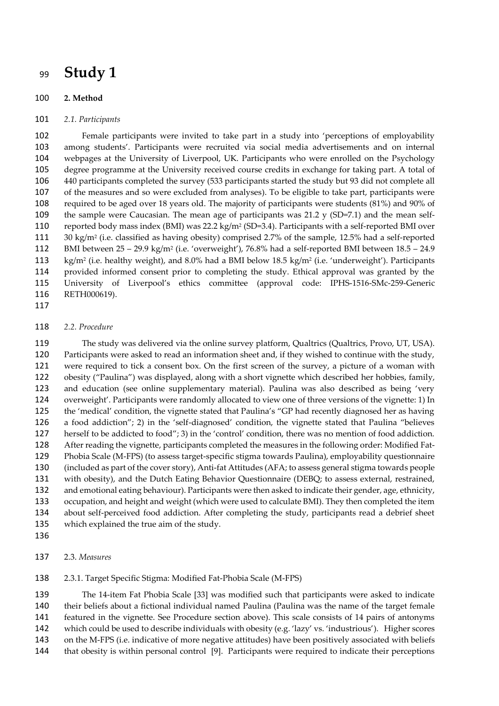## **Study 1**

#### **2. Method**

#### *2.1. Participants*

 Female participants were invited to take part in a study into 'perceptions of employability among students'. Participants were recruited via social media advertisements and on internal webpages at the University of Liverpool, UK. Participants who were enrolled on the Psychology degree programme at the University received course credits in exchange for taking part. A total of 440 participants completed the survey (533 participants started the study but 93 did not complete all of the measures and so were excluded from analyses). To be eligible to take part, participants were required to be aged over 18 years old. The majority of participants were students (81%) and 90% of the sample were Caucasian. The mean age of participants was 21.2 y (SD=7.1) and the mean self-110 reported body mass index (BMI) was 22.2 kg/m<sup>2</sup> (SD=3.4). Participants with a self-reported BMI over 30 kg/m<sup>2</sup> (i.e. classified as having obesity) comprised 2.7% of the sample, 12.5% had a self-reported BMI between 25 – 29.9 kg/m<sup>2</sup> (i.e. 'overweight'), 76.8% had a self-reported BMI between 18.5 – 24.9 113 kg/m<sup>2</sup> (i.e. healthy weight), and 8.0% had a BMI below 18.5 kg/m<sup>2</sup> (i.e. 'underweight'). Participants provided informed consent prior to completing the study. Ethical approval was granted by the University of Liverpool's ethics committee (approval code: IPHS-1516-SMc-259-Generic RETH000619).

#### *2.2. Procedure*

 The study was delivered via the online survey platform, Qualtrics (Qualtrics, Provo, UT, USA). Participants were asked to read an information sheet and, if they wished to continue with the study, were required to tick a consent box. On the first screen of the survey, a picture of a woman with obesity ("Paulina") was displayed, along with a short vignette which described her hobbies, family, and education (see online supplementary material). Paulina was also described as being 'very overweight'. Participants were randomly allocated to view one of three versions of the vignette: 1) In the 'medical' condition, the vignette stated that Paulina's "GP had recently diagnosed her as having a food addiction"; 2) in the 'self-diagnosed' condition, the vignette stated that Paulina "believes herself to be addicted to food"; 3) in the 'control' condition, there was no mention of food addiction. After reading the vignette, participants completed the measures in the following order: Modified Fat- Phobia Scale (M-FPS) (to assess target-specific stigma towards Paulina), employability questionnaire (included as part of the cover story), Anti-fat Attitudes (AFA; to assess general stigma towards people with obesity), and the Dutch Eating Behavior Questionnaire (DEBQ; to assess external, restrained, and emotional eating behaviour). Participants were then asked to indicate their gender, age, ethnicity, occupation, and height and weight (which were used to calculate BMI). They then completed the item about self-perceived food addiction. After completing the study, participants read a debrief sheet which explained the true aim of the study.

#### 2.3. *Measures*

#### 2.3.1. Target Specific Stigma: Modified Fat-Phobia Scale (M-FPS)

 The 14-item Fat Phobia Scale [33] was modified such that participants were asked to indicate their beliefs about a fictional individual named Paulina (Paulina was the name of the target female featured in the vignette. See Procedure section above). This scale consists of 14 pairs of antonyms which could be used to describe individuals with obesity (e.g. 'lazy' vs. 'industrious'). Higher scores on the M-FPS (i.e. indicative of more negative attitudes) have been positively associated with beliefs that obesity is within personal control [9]. Participants were required to indicate their perceptions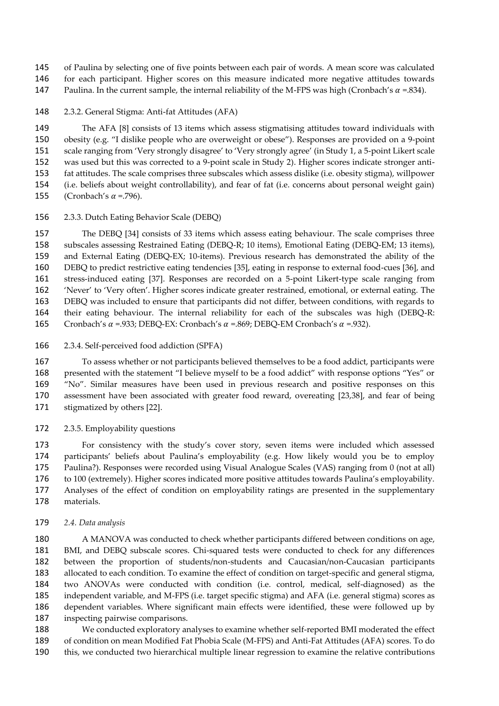of Paulina by selecting one of five points between each pair of words. A mean score was calculated for each participant. Higher scores on this measure indicated more negative attitudes towards 147 Paulina. In the current sample, the internal reliability of the M-FPS was high (Cronbach's  $\alpha$  =.834).

2.3.2. General Stigma: Anti-fat Attitudes (AFA)

 The AFA [8] consists of 13 items which assess stigmatising attitudes toward individuals with obesity (e.g. "I dislike people who are overweight or obese"). Responses are provided on a 9-point scale ranging from 'Very strongly disagree' to 'Very strongly agree' (in Study 1, a 5-point Likert scale was used but this was corrected to a 9-point scale in Study 2). Higher scores indicate stronger anti- fat attitudes. The scale comprises three subscales which assess dislike (i.e. obesity stigma), willpower (i.e. beliefs about weight controllability), and fear of fat (i.e. concerns about personal weight gain) 155 (Cronbach's  $\alpha$  =.796).

2.3.3. Dutch Eating Behavior Scale (DEBQ)

 The DEBQ [34] consists of 33 items which assess eating behaviour. The scale comprises three subscales assessing Restrained Eating (DEBQ-R; 10 items), Emotional Eating (DEBQ-EM; 13 items), and External Eating (DEBQ-EX; 10-items). Previous research has demonstrated the ability of the DEBQ to predict restrictive eating tendencies [35], eating in response to external food-cues [36], and stress-induced eating [37]. Responses are recorded on a 5-point Likert-type scale ranging from 'Never' to 'Very often'. Higher scores indicate greater restrained, emotional, or external eating. The DEBQ was included to ensure that participants did not differ, between conditions, with regards to their eating behaviour. The internal reliability for each of the subscales was high (DEBQ-R: 165 Cronbach's  $\alpha$  =.933; DEBQ-EX: Cronbach's  $\alpha$  =.869; DEBQ-EM Cronbach's  $\alpha$  =.932).

2.3.4. Self-perceived food addiction (SPFA)

 To assess whether or not participants believed themselves to be a food addict, participants were presented with the statement "I believe myself to be a food addict" with response options "Yes" or "No". Similar measures have been used in previous research and positive responses on this assessment have been associated with greater food reward, overeating [23,38], and fear of being stigmatized by others [22].

2.3.5. Employability questions

 For consistency with the study's cover story, seven items were included which assessed participants' beliefs about Paulina's employability (e.g. How likely would you be to employ Paulina?). Responses were recorded using Visual Analogue Scales (VAS) ranging from 0 (not at all) to 100 (extremely). Higher scores indicated more positive attitudes towards Paulina's employability. Analyses of the effect of condition on employability ratings are presented in the supplementary materials.

*2.4. Data analysis*

 A MANOVA was conducted to check whether participants differed between conditions on age, BMI, and DEBQ subscale scores. Chi-squared tests were conducted to check for any differences between the proportion of students/non-students and Caucasian/non-Caucasian participants allocated to each condition. To examine the effect of condition on target-specific and general stigma, two ANOVAs were conducted with condition (i.e. control, medical, self-diagnosed) as the independent variable, and M-FPS (i.e. target specific stigma) and AFA (i.e. general stigma) scores as dependent variables. Where significant main effects were identified, these were followed up by inspecting pairwise comparisons.

 We conducted exploratory analyses to examine whether self-reported BMI moderated the effect of condition on mean Modified Fat Phobia Scale (M-FPS) and Anti-Fat Attitudes (AFA) scores. To do this, we conducted two hierarchical multiple linear regression to examine the relative contributions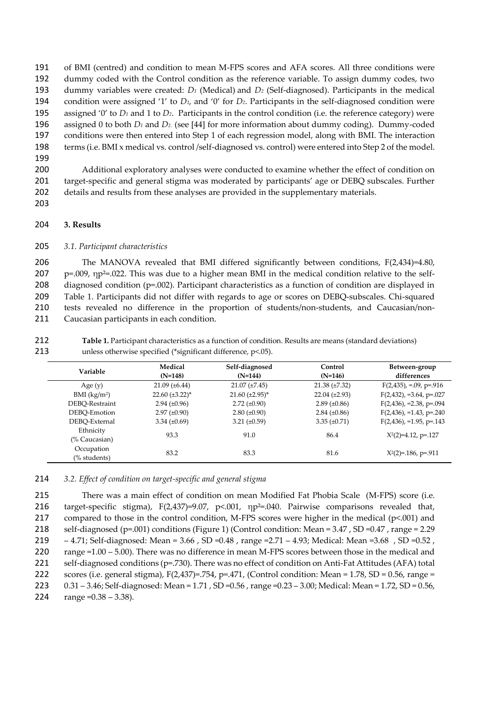of BMI (centred) and condition to mean M-FPS scores and AFA scores. All three conditions were dummy coded with the Control condition as the reference variable. To assign dummy codes, two dummy variables were created: *D<sup>1</sup>* (Medical) and *D<sup>2</sup>* (Self-diagnosed). Participants in the medical condition were assigned '1' to *D1*, and '0' for *D2*. Participants in the self-diagnosed condition were assigned '0' to *D<sup>1</sup>* and 1 to *D2*. Participants in the control condition (i.e. the reference category) were assigned 0 to both *D<sup>1</sup>* and *D2*. (see [44] for more information about dummy coding). Dummy-coded conditions were then entered into Step 1 of each regression model, along with BMI. The interaction terms (i.e. BMI x medical vs. control /self-diagnosed vs. control) were entered into Step 2 of the model. 199

- 200 Additional exploratory analyses were conducted to examine whether the effect of condition on 201 target-specific and general stigma was moderated by participants' age or DEBQ subscales. Further 202 details and results from these analyses are provided in the supplementary materials.
- 203

#### 204 **3. Results**

#### 205 *3.1. Participant characteristics*

 The MANOVA revealed that BMI differed significantly between conditions, F(2,434)=4.80, p=.009,  $np^2$ =.022. This was due to a higher mean BMI in the medical condition relative to the self- diagnosed condition (p=.002). Participant characteristics as a function of condition are displayed in Table 1. Participants did not differ with regards to age or scores on DEBQ-subscales. Chi-squared tests revealed no difference in the proportion of students/non-students, and Caucasian/non-Caucasian participants in each condition.

| 212 | Table 1. Participant characteristics as a function of condition. Results are means (standard deviations) |
|-----|----------------------------------------------------------------------------------------------------------|
| 213 | unless otherwise specified (*significant difference, $p$ <.05).                                          |

| Variable                   | Medical<br>$(N=148)$   | Self-diagnosed<br>$(N=144)$ | Control<br>$(N=146)$ | Between-group<br>differences |
|----------------------------|------------------------|-----------------------------|----------------------|------------------------------|
| Age $(y)$                  | $21.09 \ (\pm 6.44)$   | $21.07 \ (\pm 7.45)$        | $21.38 \ (\pm 7.32)$ | $F(2,435)$ , =.09, p=.916    |
| $BMI$ (kg/m <sup>2</sup> ) | $22.60 \ (\pm 3.22)^*$ | $21.60 \ (\pm 2.95)^*$      | $22.04 (\pm 2.93)$   | $F(2,432)$ , =3.64, p=.027   |
| DEBO-Restraint             | $2.94 \ (\pm 0.96)$    | $2.72 \ (\pm 0.90)$         | $2.89 \ (\pm 0.86)$  | $F(2,436)$ , =2.38, p=.094   |
| DEBO-Emotion               | $2.97 \ (\pm 0.90)$    | $2.80 (\pm 0.90)$           | $2.84 \ (\pm 0.86)$  | $F(2,436)$ , =1.43, p=.240   |
| DEBO-External              | 3.34 $(\pm 0.69)$      | 3.21 $(\pm 0.59)$           | 3.35 $(\pm 0.71)$    | $F(2, 436)$ , =1.95, p=.143  |
| Ethnicity<br>(% Caucasian) | 93.3                   | 91.0                        | 86.4                 | $X^2(2)=4.12$ , p=.127       |
| Occupation<br>(% students) | 83.2                   | 83.3                        | 81.6                 | $X^2(2)=186$ , p=.911        |

214 *3.2. Effect of condition on target-specific and general stigma*

 There was a main effect of condition on mean Modified Fat Phobia Scale (M-FPS) score (i.e. target-specific stigma), F(2,437)=9.07, p<.001, ηp²=.040. Pairwise comparisons revealed that, compared to those in the control condition, M-FPS scores were higher in the medical (p<.001) and self-diagnosed (p=.001) conditions (Figure 1) (Control condition: Mean = 3.47 , SD =0.47 , range = 2.29 – 4.71; Self-diagnosed: Mean = 3.66 , SD =0.48 , range =2.71 – 4.93; Medical: Mean =3.68 , SD =0.52 , range =1.00 – 5.00). There was no difference in mean M-FPS scores between those in the medical and 221 self-diagnosed conditions (p=.730). There was no effect of condition on Anti-Fat Attitudes (AFA) total 222 scores (i.e. general stigma),  $F(2,437) = .754$ ,  $p = .471$ , (Control condition: Mean = 1.78, SD = 0.56, range = 0.31 – 3.46; Self-diagnosed: Mean = 1.71 , SD =0.56 , range =0.23 – 3.00; Medical: Mean = 1.72, SD = 0.56, 224 range =  $0.38 - 3.38$ ).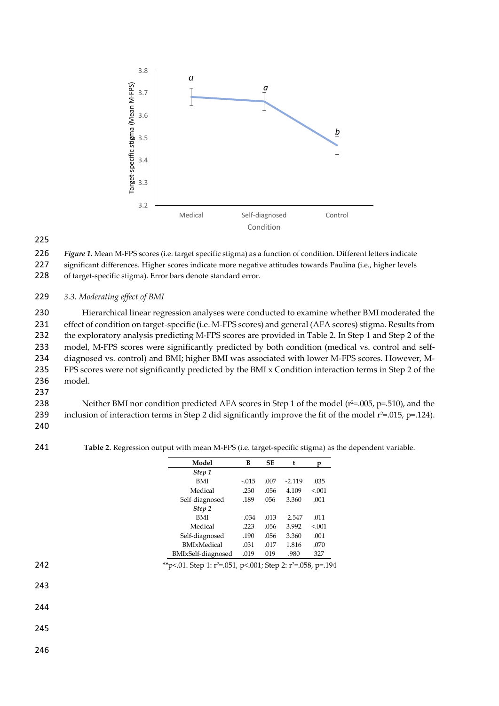

226 *Figure 1.* Mean M-FPS scores (i.e. target specific stigma) as a function of condition. Different letters indicate 227 significant differences. Higher scores indicate more negative attitudes towards Paulina (i.e., higher levels

228 of target-specific stigma). Error bars denote standard error.

#### 229 *3.3. Moderating effect of BMI*

 Hierarchical linear regression analyses were conducted to examine whether BMI moderated the effect of condition on target-specific (i.e. M-FPS scores) and general (AFA scores) stigma. Results from the exploratory analysis predicting M-FPS scores are provided in Table 2. In Step 1 and Step 2 of the model, M-FPS scores were significantly predicted by both condition (medical vs. control and self- diagnosed vs. control) and BMI; higher BMI was associated with lower M-FPS scores. However, M- FPS scores were not significantly predicted by the BMI x Condition interaction terms in Step 2 of the 236 model.

237

238 Neither BMI nor condition predicted AFA scores in Step 1 of the model  $(r^2 = .005, p = .510)$ , and the 239 inclusion of interaction terms in Step 2 did significantly improve the fit of the model  $r^2 = .015$ , p=.124).

- 240
- 

241 **Table 2.** Regression output with mean M-FPS (i.e. target-specific stigma) as the dependent variable.

| Model              | в       | SE   | t        | n      |
|--------------------|---------|------|----------|--------|
| Step 1             |         |      |          |        |
| <b>BMI</b>         | $-.015$ | .007 | $-2119$  | .035   |
| Medical            | .230    | .056 | 4.109    | < 0.01 |
| Self-diagnosed     | .189    | 056  | 3.360    | .001   |
| Step 2             |         |      |          |        |
| <b>BMI</b>         | $-.034$ | .013 | $-2.547$ | .011   |
| Medical            | .223    | .056 | 3.992    | < 0.01 |
| Self-diagnosed     | .190    | .056 | 3.360    | .001   |
| <b>BMIxMedical</b> | .031    | .017 | 1.816    | .070   |
| BMIxSelf-diagnosed | .019    | 019  | .980     | 327    |
|                    |         |      |          |        |

242 \*\*p<.01. Step 1: r<sup>2=</sup>.051, p<.001; Step 2: r<sup>2=</sup>.058, p=.194

243

244

245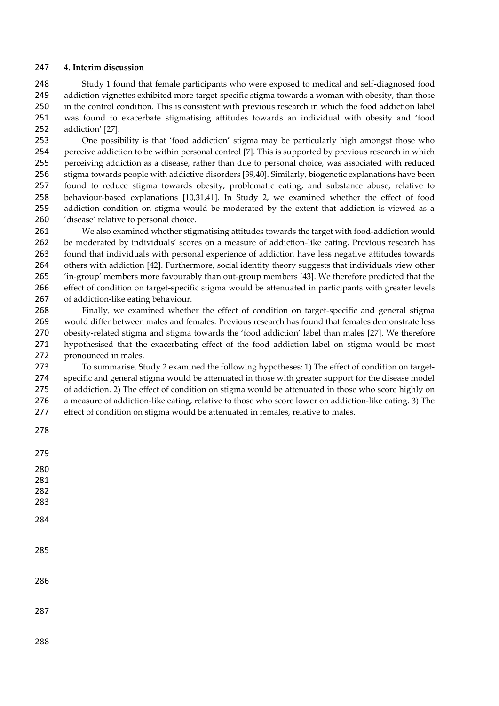#### **4. Interim discussion**

 Study 1 found that female participants who were exposed to medical and self-diagnosed food addiction vignettes exhibited more target-specific stigma towards a woman with obesity, than those in the control condition. This is consistent with previous research in which the food addiction label was found to exacerbate stigmatising attitudes towards an individual with obesity and 'food addiction' [27].

 One possibility is that 'food addiction' stigma may be particularly high amongst those who perceive addiction to be within personal control [7]. This is supported by previous research in which perceiving addiction as a disease, rather than due to personal choice, was associated with reduced stigma towards people with addictive disorders [39,40]. Similarly, biogenetic explanations have been found to reduce stigma towards obesity, problematic eating, and substance abuse, relative to behaviour-based explanations [10,31,41]. In Study 2, we examined whether the effect of food addiction condition on stigma would be moderated by the extent that addiction is viewed as a 'disease' relative to personal choice.

 We also examined whether stigmatising attitudes towards the target with food-addiction would be moderated by individuals' scores on a measure of addiction-like eating. Previous research has found that individuals with personal experience of addiction have less negative attitudes towards others with addiction [42]. Furthermore, social identity theory suggests that individuals view other 'in-group' members more favourably than out-group members [43]. We therefore predicted that the effect of condition on target-specific stigma would be attenuated in participants with greater levels of addiction-like eating behaviour.

 Finally, we examined whether the effect of condition on target-specific and general stigma would differ between males and females. Previous research has found that females demonstrate less obesity-related stigma and stigma towards the 'food addiction' label than males [27]. We therefore hypothesised that the exacerbating effect of the food addiction label on stigma would be most pronounced in males.

 To summarise, Study 2 examined the following hypotheses: 1) The effect of condition on target- specific and general stigma would be attenuated in those with greater support for the disease model of addiction. 2) The effect of condition on stigma would be attenuated in those who score highly on a measure of addiction-like eating, relative to those who score lower on addiction-like eating. 3) The effect of condition on stigma would be attenuated in females, relative to males.

- 
- 
-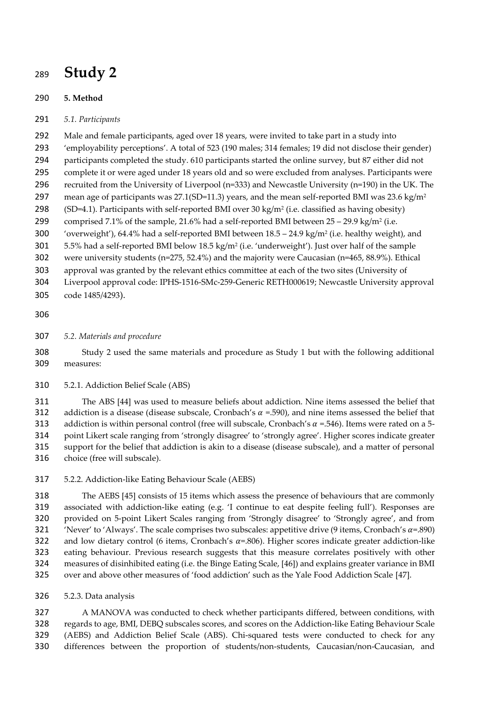## **Study 2**

### **5. Method**

*5.1. Participants*

 Male and female participants, aged over 18 years, were invited to take part in a study into 'employability perceptions'. A total of 523 (190 males; 314 females; 19 did not disclose their gender) participants completed the study. 610 participants started the online survey, but 87 either did not

- complete it or were aged under 18 years old and so were excluded from analyses. Participants were
- recruited from the University of Liverpool (n=333) and Newcastle University (n=190) in the UK. The 297 mean age of participants was 27.1(SD=11.3) years, and the mean self-reported BMI was 23.6 kg/m<sup>2</sup>
- 298 (SD=4.1). Participants with self-reported BMI over 30 kg/m<sup>2</sup> (i.e. classified as having obesity)

299 comprised 7.1% of the sample, 21.6% had a self-reported BMI between  $25 - 29.9$  kg/m<sup>2</sup> (i.e.

300 'overweight'), 64.4% had a self-reported BMI between 18.5 - 24.9 kg/m<sup>2</sup> (i.e. healthy weight), and

5.5% had a self-reported BMI below 18.5 kg/m<sup>2</sup> (i.e. 'underweight'). Just over half of the sample

were university students (n=275, 52.4%) and the majority were Caucasian (n=465, 88.9%). Ethical

- approval was granted by the relevant ethics committee at each of the two sites (University of
- Liverpool approval code: IPHS-1516-SMc-259-Generic RETH000619; Newcastle University approval
- code 1485/4293).

### 

*5.2. Materials and procedure*

 Study 2 used the same materials and procedure as Study 1 but with the following additional measures:

5.2.1. Addiction Belief Scale (ABS)

 The ABS [44] was used to measure beliefs about addiction. Nine items assessed the belief that 312 addiction is a disease (disease subscale, Cronbach's  $\alpha$  =.590), and nine items assessed the belief that 313 addiction is within personal control (free will subscale, Cronbach's  $\alpha$  =.546). Items were rated on a 5- point Likert scale ranging from 'strongly disagree' to 'strongly agree'. Higher scores indicate greater support for the belief that addiction is akin to a disease (disease subscale), and a matter of personal choice (free will subscale).

5.2.2. Addiction-like Eating Behaviour Scale (AEBS)

 The AEBS [45] consists of 15 items which assess the presence of behaviours that are commonly associated with addiction-like eating (e.g. 'I continue to eat despite feeling full'). Responses are provided on 5-point Likert Scales ranging from 'Strongly disagree' to 'Strongly agree', and from 321 'Never' to 'Always'. The scale comprises two subscales: appetitive drive (9 items, Cronbach's  $\alpha$ =.890) 322 and low dietary control (6 items, Cronbach's  $\alpha$ =.806). Higher scores indicate greater addiction-like eating behaviour. Previous research suggests that this measure correlates positively with other measures of disinhibited eating (i.e. the Binge Eating Scale, [46]) and explains greater variance in BMI over and above other measures of 'food addiction' such as the Yale Food Addiction Scale [47].

5.2.3. Data analysis

 A MANOVA was conducted to check whether participants differed, between conditions, with regards to age, BMI, DEBQ subscales scores, and scores on the Addiction-like Eating Behaviour Scale (AEBS) and Addiction Belief Scale (ABS). Chi-squared tests were conducted to check for any differences between the proportion of students/non-students, Caucasian/non-Caucasian, and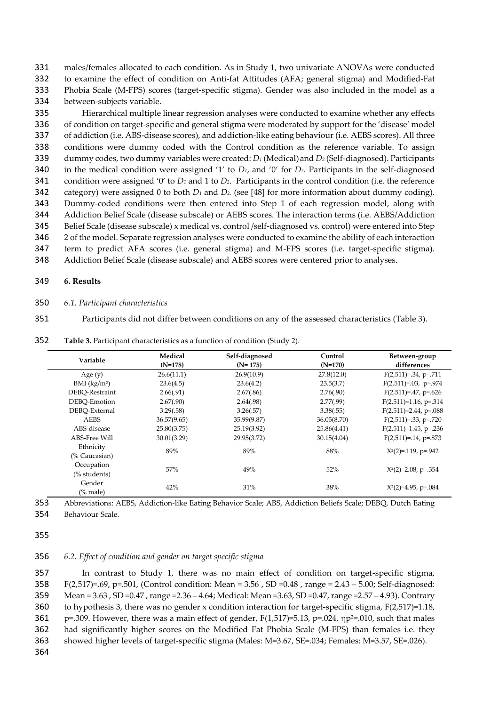males/females allocated to each condition. As in Study 1, two univariate ANOVAs were conducted to examine the effect of condition on Anti-fat Attitudes (AFA; general stigma) and Modified-Fat Phobia Scale (M-FPS) scores (target-specific stigma). Gender was also included in the model as a between-subjects variable.

 Hierarchical multiple linear regression analyses were conducted to examine whether any effects of condition on target-specific and general stigma were moderated by support for the 'disease' model of addiction (i.e. ABS-disease scores), and addiction-like eating behaviour (i.e. AEBS scores). All three conditions were dummy coded with the Control condition as the reference variable. To assign dummy codes, two dummy variables were created: *D<sup>1</sup>* (Medical)and *D<sup>2</sup>* (Self-diagnosed). Participants in the medical condition were assigned '1' to *D1*, and '0' for *D2*. Participants in the self-diagnosed condition were assigned '0' to *D<sup>1</sup>* and 1 to *D2*. Participants in the control condition (i.e. the reference category) were assigned 0 to both *D<sup>1</sup>* and *D2*. (see [48] for more information about dummy coding). Dummy-coded conditions were then entered into Step 1 of each regression model, along with Addiction Belief Scale (disease subscale) or AEBS scores. The interaction terms (i.e. AEBS/Addiction Belief Scale (disease subscale) x medical vs. control /self-diagnosed vs. control) were entered into Step 2 of the model. Separate regression analyses were conducted to examine the ability of each interaction term to predict AFA scores (i.e. general stigma) and M-FPS scores (i.e. target-specific stigma).

348 Addiction Belief Scale (disease subscale) and AEBS scores were centered prior to analyses.

#### 349 **6. Results**

- 350 *6.1. Participant characteristics*
- 351 Participants did not differ between conditions on any of the assessed characteristics (Table 3).

| Variable                   | Medical<br>$(N=178)$ | Self-diagnosed<br>$(N=175)$ | Control<br>$(N=170)$ | Between-group<br>differences |
|----------------------------|----------------------|-----------------------------|----------------------|------------------------------|
| Age $(y)$                  | 26.6(11.1)           | 26.9(10.9)                  | 27.8(12.0)           | $F(2,511)=.34$ , p=.711      |
| $BMI$ (kg/m <sup>2</sup> ) | 23.6(4.5)            | 23.6(4.2)                   | 23.5(3.7)            | $F(2,511)=.03$ , p=.974      |
| DEBO-Restraint             | 2.66(.91)            | 2.67(.86)                   | 2.76(.90)            | $F(2,511)=.47$ , p=.626      |
| DEBO-Emotion               | 2.67(.90)            | 2.64(.98)                   | 2.77(.99)            | $F(2,511)=1.16$ , p=.314     |
| DEBO-External              | 3.29(.58)            | 3.26(.57)                   | 3.38(.55)            | $F(2,511)=2.44$ , p=.088     |
| <b>AEBS</b>                | 36.57(9.65)          | 35.99(9.87)                 | 36.05(8.70)          | $F(2,511)=.33$ , p=.720      |
| ABS-disease                | 25.80(3.75)          | 25.19(3.92)                 | 25.86(4.41)          | $F(2,511)=1.45$ , p=.236     |
| ABS-Free Will              | 30.01(3.29)          | 29.95(3.72)                 | 30.15(4.04)          | $F(2,511)=0.14$ , p= $0.873$ |
| Ethnicity<br>(% Caucasian) | 89%                  | 89%                         | 88%                  | $X2(2)=119$ , p=.942         |
| Occupation<br>(% students) | 57%                  | 49%                         | 52%                  | $X^2(2)=2.08$ , p=.354       |
| Gender<br>$%$ male)        | 42%                  | 31%                         | 38%                  | $X^2(2)=4.95$ , p=.084       |

352 **Table 3.** Participant characteristics as a function of condition (Study 2).

353 Abbreviations: AEBS, Addiction-like Eating Behavior Scale; ABS, Addiction Beliefs Scale; DEBQ, Dutch Eating 354 Behaviour Scale.

355

#### 356 *6.2. Effect of condition and gender on target specific stigma*

 In contrast to Study 1, there was no main effect of condition on target-specific stigma, F(2,517)=.69, p=.501, (Control condition: Mean = 3.56 , SD =0.48 , range = 2.43 – 5.00; Self-diagnosed: Mean = 3.63 , SD =0.47 , range =2.36 – 4.64; Medical: Mean =3.63, SD =0.47, range =2.57 – 4.93). Contrary to hypothesis 3, there was no gender x condition interaction for target-specific stigma, F(2,517)=1.18, 361 p=.309. However, there was a main effect of gender, F(1,517)=5.13, p=.024, np<sup>2=</sup>.010, such that males had significantly higher scores on the Modified Fat Phobia Scale (M-FPS) than females i.e. they showed higher levels of target-specific stigma (Males: M=3.67, SE=.034; Females: M=3.57, SE=.026).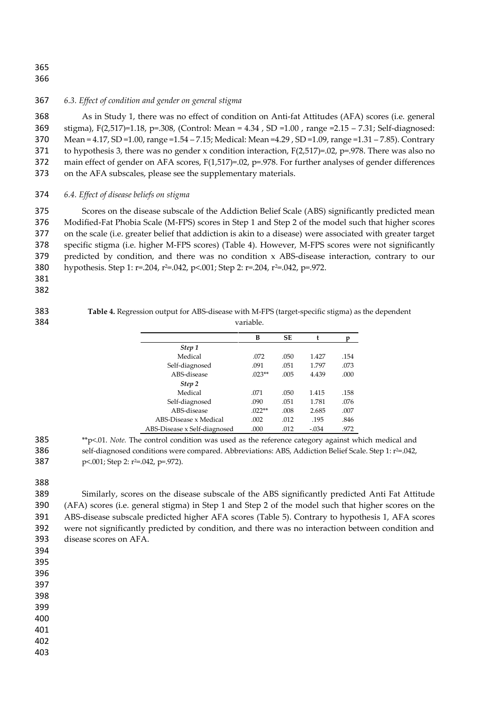#### *6.3. Effect of condition and gender on general stigma*

 As in Study 1, there was no effect of condition on Anti-fat Attitudes (AFA) scores (i.e. general stigma), F(2,517)=1.18, p=.308, (Control: Mean = 4.34 , SD =1.00 , range =2.15 – 7.31; Self-diagnosed: Mean = 4.17, SD =1.00, range =1.54 – 7.15; Medical: Mean =4.29 , SD =1.09, range =1.31 – 7.85). Contrary 371 to hypothesis 3, there was no gender x condition interaction,  $F(2,517)=0.02$ , p=.978. There was also no 372 main effect of gender on AFA scores, F(1,517)=.02, p=.978. For further analyses of gender differences on the AFA subscales, please see the supplementary materials.

#### *6.4. Effect of disease beliefs on stigma*

 Scores on the disease subscale of the Addiction Belief Scale (ABS) significantly predicted mean Modified-Fat Phobia Scale (M-FPS) scores in Step 1 and Step 2 of the model such that higher scores on the scale (i.e. greater belief that addiction is akin to a disease) were associated with greater target specific stigma (i.e. higher M-FPS scores) (Table 4). However, M-FPS scores were not significantly predicted by condition, and there was no condition x ABS-disease interaction, contrary to our 380 hypothesis. Step 1: r=.204, r<sup>2</sup>=.042, p<.001; Step 2: r=.204, r<sup>2</sup>=.042, p=.972.

 **Table 4.** Regression output for ABS-disease with M-FPS (target-specific stigma) as the dependent variable.

|                              | в        | <b>SE</b> |         |      |
|------------------------------|----------|-----------|---------|------|
| Step 1                       |          |           |         |      |
| Medical                      | .072     | .050      | 1.427   | .154 |
| Self-diagnosed               | .091     | .051      | 1.797   | .073 |
| ABS-disease                  | $023**$  | .005      | 4.439   | .000 |
| Step 2                       |          |           |         |      |
| Medical                      | .071     | .050      | 1.415   | .158 |
| Self-diagnosed               | .090     | .051      | 1.781   | .076 |
| ABS-disease                  | $.022**$ | .008      | 2.685   | .007 |
| ABS-Disease x Medical        | .002     | .012      | .195    | .846 |
| ABS-Disease x Self-diagnosed | .000     | .012      | $-.034$ | .972 |

 \*\*p<.01. *Note.* The control condition was used as the reference category against which medical and 386 self-diagnosed conditions were compared. Abbreviations: ABS, Addiction Belief Scale. Step 1: r<sup>2=</sup>.042, 387  $p<.001$ ; Step 2: r<sup>2=</sup>.042, p=.972).

 Similarly, scores on the disease subscale of the ABS significantly predicted Anti Fat Attitude (AFA) scores (i.e. general stigma) in Step 1 and Step 2 of the model such that higher scores on the ABS-disease subscale predicted higher AFA scores (Table 5). Contrary to hypothesis 1, AFA scores were not significantly predicted by condition, and there was no interaction between condition and disease scores on AFA.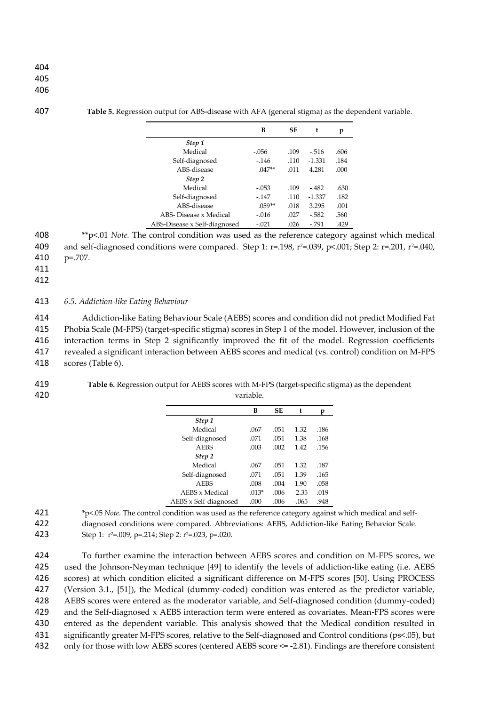#### 407 **Table 5.** Regression output for ABS-disease with AFA (general stigma) as the dependent variable.

|                              | B        | SE   | t        | p    |
|------------------------------|----------|------|----------|------|
| Step 1                       |          |      |          |      |
| Medical                      | $-.056$  | .109 | $-.516$  | .606 |
| Self-diagnosed               | $-146$   | .110 | $-1.331$ | .184 |
| ABS-disease                  | $0.47**$ | .011 | 4.281    | .000 |
| Step 2                       |          |      |          |      |
| Medical                      | $-.053$  | .109 | $-482$   | .630 |
| Self-diagnosed               | $-147$   | .110 | $-1.337$ | .182 |
| ABS-disease                  | $.059**$ | .018 | 3.295    | .001 |
| ABS- Disease x Medical       | $-.016$  | .027 | $-582$   | .560 |
| ABS-Disease x Self-diagnosed | $-.021$  | .026 | $-791$   | .429 |

408 \*\*p<.01 *Note.* The control condition was used as the reference category against which medical 409 and self-diagnosed conditions were compared. Step 1: r=.198, r<sup>2</sup>=.039, p<.001; Step 2: r=.201, r<sup>2</sup>=.040, 410 p=.707.

411

412

#### 413 *6.5. Addiction-like Eating Behaviour*

 Addiction-like Eating Behaviour Scale (AEBS) scores and condition did not predict Modified Fat Phobia Scale (M-FPS) (target-specific stigma) scores in Step 1 of the model. However, inclusion of the interaction terms in Step 2 significantly improved the fit of the model. Regression coefficients revealed a significant interaction between AEBS scores and medical (vs. control) condition on M-FPS scores (Table 6).

#### 419 **Table 6.** Regression output for AEBS scores with M-FPS (target-specific stigma) as the dependent 420 variable.

|                       | в        | <b>SE</b> | t       | n    |
|-----------------------|----------|-----------|---------|------|
| Step 1                |          |           |         |      |
| Medical               | .067     | .051      | 1.32    | .186 |
| Self-diagnosed        | .071     | .051      | 1.38    | .168 |
| <b>AEBS</b>           | .003     | .002      | 142     | .156 |
| Step 2                |          |           |         |      |
| Medical               | .067     | .051      | 1.32    | .187 |
| Self-diagnosed        | 071      | .051      | 1.39    | .165 |
| <b>AEBS</b>           | .008     | .004      | 190     | .058 |
| AEBS x Medical        | $-.013*$ | .006      | $-2.35$ | .019 |
| AEBS x Self-diagnosed | .000     | .006      | $-.065$ | .948 |

<sup>421</sup> \*p<.05 *Note.* The control condition was used as the reference category against which medical and self-

 To further examine the interaction between AEBS scores and condition on M-FPS scores, we used the Johnson-Neyman technique [49] to identify the levels of addiction-like eating (i.e. AEBS scores) at which condition elicited a significant difference on M-FPS scores [50]. Using PROCESS (Version 3.1., [51]), the Medical (dummy-coded) condition was entered as the predictor variable, AEBS scores were entered as the moderator variable, and Self-diagnosed condition (dummy-coded) and the Self-diagnosed x AEBS interaction term were entered as covariates. Mean-FPS scores were entered as the dependent variable. This analysis showed that the Medical condition resulted in significantly greater M-FPS scores, relative to the Self-diagnosed and Control conditions (ps<.05), but only for those with low AEBS scores (centered AEBS score <= -2.81). Findings are therefore consistent

<sup>422</sup> diagnosed conditions were compared. Abbreviations: AEBS, Addiction-like Eating Behavior Scale.

<sup>423</sup> Step 1: r<sup>2=</sup>.009, p=.214; Step 2: r<sup>2=</sup>.023, p=.020.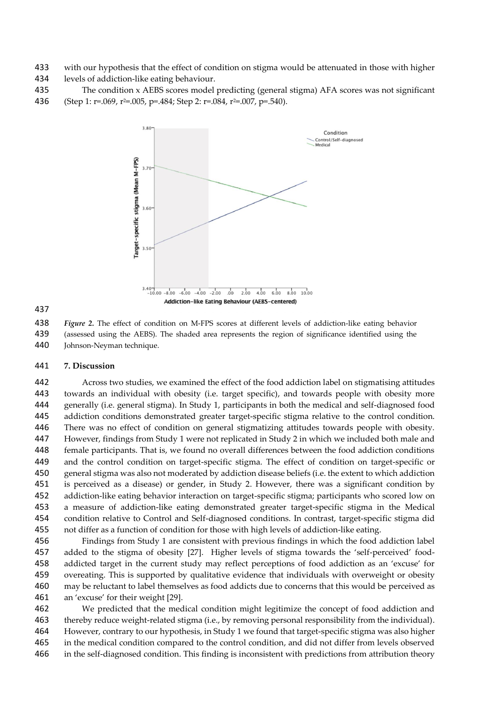433 with our hypothesis that the effect of condition on stigma would be attenuated in those with higher 1434 levels of addiction-like eating behaviour.

- levels of addiction-like eating behaviour.
- The condition x AEBS scores model predicting (general stigma) AFA scores was not significant 436 (Step 1: r=.069, r<sup>2=</sup>.005, p=.484; Step 2: r=.084, r<sup>2=</sup>.007, p=.540).





 *Figure 2.* The effect of condition on M-FPS scores at different levels of addiction-like eating behavior 439 (assessed using the AEBS). The shaded area represents the region of significance identified using the 440 Iohnson-Nevman technique. Johnson-Neyman technique.

#### **7. Discussion**

 Across two studies, we examined the effect of the food addiction label on stigmatising attitudes towards an individual with obesity (i.e. target specific), and towards people with obesity more generally (i.e. general stigma). In Study 1, participants in both the medical and self-diagnosed food addiction conditions demonstrated greater target-specific stigma relative to the control condition. There was no effect of condition on general stigmatizing attitudes towards people with obesity. However, findings from Study 1 were not replicated in Study 2 in which we included both male and female participants. That is, we found no overall differences between the food addiction conditions and the control condition on target-specific stigma. The effect of condition on target-specific or general stigma was also not moderated by addiction disease beliefs (i.e. the extent to which addiction is perceived as a disease) or gender, in Study 2. However, there was a significant condition by addiction-like eating behavior interaction on target-specific stigma; participants who scored low on a measure of addiction-like eating demonstrated greater target-specific stigma in the Medical condition relative to Control and Self-diagnosed conditions. In contrast, target-specific stigma did not differ as a function of condition for those with high levels of addiction-like eating.

 Findings from Study 1 are consistent with previous findings in which the food addiction label added to the stigma of obesity [27]. Higher levels of stigma towards the 'self-perceived' food- addicted target in the current study may reflect perceptions of food addiction as an 'excuse' for overeating. This is supported by qualitative evidence that individuals with overweight or obesity may be reluctant to label themselves as food addicts due to concerns that this would be perceived as an 'excuse' for their weight [29].

 We predicted that the medical condition might legitimize the concept of food addiction and thereby reduce weight-related stigma (i.e., by removing personal responsibility from the individual). However, contrary to our hypothesis, in Study 1 we found that target-specific stigma was also higher in the medical condition compared to the control condition, and did not differ from levels observed in the self-diagnosed condition. This finding is inconsistent with predictions from attribution theory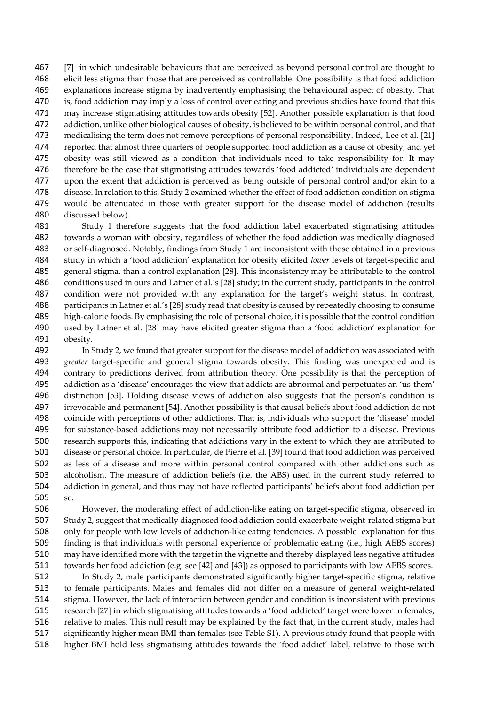[7] in which undesirable behaviours that are perceived as beyond personal control are thought to elicit less stigma than those that are perceived as controllable. One possibility is that food addiction explanations increase stigma by inadvertently emphasising the behavioural aspect of obesity. That 470 is, food addiction may imply a loss of control over eating and previous studies have found that this may increase stigmatising attitudes towards obesity [52]. Another possible explanation is that food addiction, unlike other biological causes of obesity, is believed to be within personal control, and that medicalising the term does not remove perceptions of personal responsibility. Indeed, Lee et al. [21] reported that almost three quarters of people supported food addiction as a cause of obesity, and yet obesity was still viewed as a condition that individuals need to take responsibility for. It may therefore be the case that stigmatising attitudes towards 'food addicted' individuals are dependent upon the extent that addiction is perceived as being outside of personal control and/or akin to a disease. In relation to this, Study 2 examined whether the effect of food addiction condition on stigma would be attenuated in those with greater support for the disease model of addiction (results discussed below).

 Study 1 therefore suggests that the food addiction label exacerbated stigmatising attitudes towards a woman with obesity, regardless of whether the food addiction was medically diagnosed or self-diagnosed. Notably, findings from Study 1 are inconsistent with those obtained in a previous study in which a 'food addiction' explanation for obesity elicited *lower* levels of target-specific and general stigma, than a control explanation [28]. This inconsistency may be attributable to the control conditions used in ours and Latner et al.'s [28] study; in the current study, participants in the control condition were not provided with any explanation for the target's weight status. In contrast, participants in Latner et al.'s [28] study read that obesity is caused by repeatedly choosing to consume high-calorie foods. By emphasising the role of personal choice, it is possible that the control condition used by Latner et al. [28] may have elicited greater stigma than a 'food addiction' explanation for obesity.

 In Study 2, we found that greater support for the disease model of addiction was associated with *greater* target-specific and general stigma towards obesity. This finding was unexpected and is contrary to predictions derived from attribution theory. One possibility is that the perception of addiction as a 'disease' encourages the view that addicts are abnormal and perpetuates an 'us-them' distinction [53]. Holding disease views of addiction also suggests that the person's condition is irrevocable and permanent [54]. Another possibility is that causal beliefs about food addiction do not coincide with perceptions of other addictions. That is, individuals who support the 'disease' model for substance-based addictions may not necessarily attribute food addiction to a disease. Previous research supports this, indicating that addictions vary in the extent to which they are attributed to disease or personal choice. In particular, de Pierre et al. [39] found that food addiction was perceived as less of a disease and more within personal control compared with other addictions such as alcoholism. The measure of addiction beliefs (i.e. the ABS) used in the current study referred to addiction in general, and thus may not have reflected participants' beliefs about food addiction per se.

 However, the moderating effect of addiction-like eating on target-specific stigma, observed in Study 2, suggest that medically diagnosed food addiction could exacerbate weight-related stigma but only for people with low levels of addiction-like eating tendencies. A possible explanation for this finding is that individuals with personal experience of problematic eating (i.e., high AEBS scores) may have identified more with the target in the vignette and thereby displayed less negative attitudes towards her food addiction (e.g. see [42] and [43]) as opposed to participants with low AEBS scores.

 In Study 2, male participants demonstrated significantly higher target-specific stigma, relative to female participants. Males and females did not differ on a measure of general weight-related stigma. However, the lack of interaction between gender and condition is inconsistent with previous research [27] in which stigmatising attitudes towards a 'food addicted' target were lower in females, relative to males. This null result may be explained by the fact that, in the current study, males had significantly higher mean BMI than females (see Table S1). A previous study found that people with higher BMI hold less stigmatising attitudes towards the 'food addict' label, relative to those with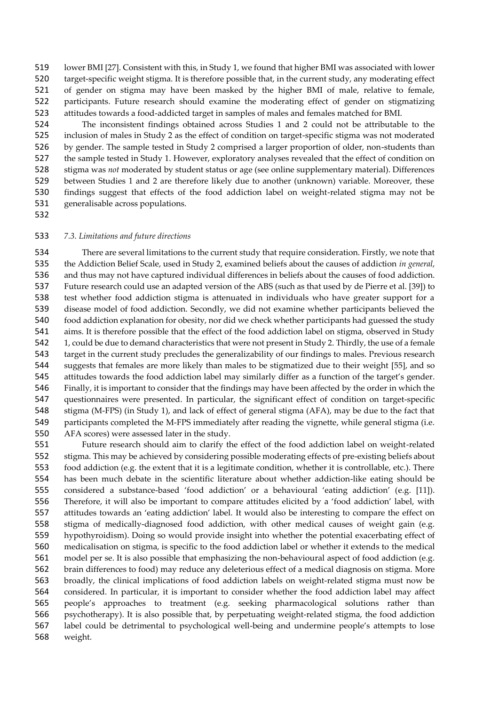lower BMI [27]. Consistent with this, in Study 1, we found that higher BMI was associated with lower target-specific weight stigma. It is therefore possible that, in the current study, any moderating effect of gender on stigma may have been masked by the higher BMI of male, relative to female, participants. Future research should examine the moderating effect of gender on stigmatizing attitudes towards a food-addicted target in samples of males and females matched for BMI.

 The inconsistent findings obtained across Studies 1 and 2 could not be attributable to the inclusion of males in Study 2 as the effect of condition on target-specific stigma was not moderated by gender. The sample tested in Study 2 comprised a larger proportion of older, non-students than the sample tested in Study 1. However, exploratory analyses revealed that the effect of condition on stigma was *not* moderated by student status or age (see online supplementary material). Differences between Studies 1 and 2 are therefore likely due to another (unknown) variable. Moreover, these findings suggest that effects of the food addiction label on weight-related stigma may not be generalisable across populations.

#### *7.3. Limitations and future directions*

 There are several limitations to the current study that require consideration. Firstly, we note that the Addiction Belief Scale, used in Study 2, examined beliefs about the causes of addiction *in general*, and thus may not have captured individual differences in beliefs about the causes of food addiction. Future research could use an adapted version of the ABS (such as that used by de Pierre et al. [39]) to test whether food addiction stigma is attenuated in individuals who have greater support for a disease model of food addiction. Secondly, we did not examine whether participants believed the food addiction explanation for obesity, nor did we check whether participants had guessed the study aims. It is therefore possible that the effect of the food addiction label on stigma, observed in Study 1, could be due to demand characteristics that were not present in Study 2. Thirdly, the use of a female target in the current study precludes the generalizability of our findings to males. Previous research suggests that females are more likely than males to be stigmatized due to their weight [55], and so attitudes towards the food addiction label may similarly differ as a function of the target's gender. Finally, it is important to consider that the findings may have been affected by the order in which the questionnaires were presented. In particular, the significant effect of condition on target-specific stigma (M-FPS) (in Study 1), and lack of effect of general stigma (AFA), may be due to the fact that participants completed the M-FPS immediately after reading the vignette, while general stigma (i.e. AFA scores) were assessed later in the study.

 Future research should aim to clarify the effect of the food addiction label on weight-related stigma. This may be achieved by considering possible moderating effects of pre-existing beliefs about food addiction (e.g. the extent that it is a legitimate condition, whether it is controllable, etc.). There has been much debate in the scientific literature about whether addiction-like eating should be considered a substance-based 'food addiction' or a behavioural 'eating addiction' (e.g. [11]). Therefore, it will also be important to compare attitudes elicited by a 'food addiction' label, with attitudes towards an 'eating addiction' label. It would also be interesting to compare the effect on stigma of medically-diagnosed food addiction, with other medical causes of weight gain (e.g. hypothyroidism). Doing so would provide insight into whether the potential exacerbating effect of medicalisation on stigma, is specific to the food addiction label or whether it extends to the medical model per se. It is also possible that emphasizing the non-behavioural aspect of food addiction (e.g. brain differences to food) may reduce any deleterious effect of a medical diagnosis on stigma. More broadly, the clinical implications of food addiction labels on weight-related stigma must now be considered. In particular, it is important to consider whether the food addiction label may affect people's approaches to treatment (e.g. seeking pharmacological solutions rather than psychotherapy). It is also possible that, by perpetuating weight-related stigma, the food addiction label could be detrimental to psychological well-being and undermine people's attempts to lose weight.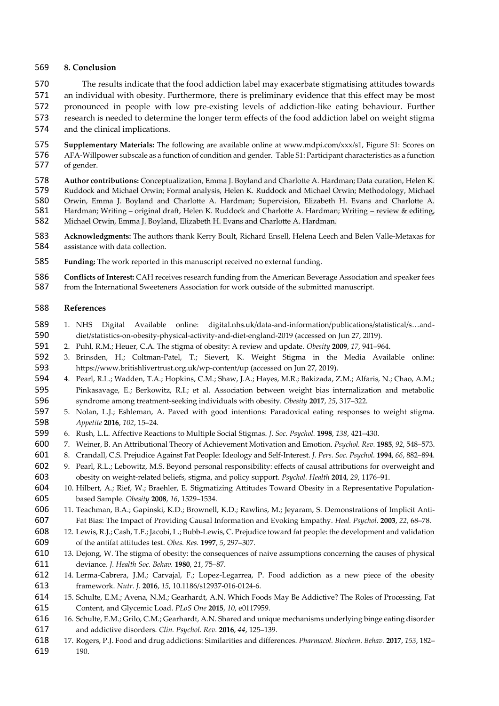#### **8. Conclusion**

 The results indicate that the food addiction label may exacerbate stigmatising attitudes towards an individual with obesity. Furthermore, there is preliminary evidence that this effect may be most pronounced in people with low pre-existing levels of addiction-like eating behaviour. Further research is needed to determine the longer term effects of the food addiction label on weight stigma and the clinical implications.

575 **Supplementary Materials:** The following are available online at www.mdpi.com/xxx/s1, Figure S1: Scores on<br>576 AFA-Willpower subscale as a function of condition and gender. Table S1: Participant characteristics as a fu AFA-Willpower subscale as a function of condition and gender. Table S1: Participant characteristics as a function of gender.

- **Author contributions:** Conceptualization, Emma J. Boyland and Charlotte A. Hardman; Data curation, Helen K. 579 Ruddock and Michael Orwin; Formal analysis, Helen K. Ruddock and Michael Orwin; Methodology, Michael<br>580 Orwin, Emma I. Boyland and Charlotte A. Hardman: Supervision, Elizabeth H. Evans and Charlotte A. 580 Orwin, Emma J. Boyland and Charlotte A. Hardman; Supervision, Elizabeth H. Evans and Charlotte A.<br>581 Hardman; Writing – original draft, Helen K. Ruddock and Charlotte A. Hardman; Writing – review & editing, Hardman; Writing – original draft, Helen K. Ruddock and Charlotte A. Hardman; Writing – review & editing, Michael Orwin, Emma J. Boyland, Elizabeth H. Evans and Charlotte A. Hardman.
- **Acknowledgments:** The authors thank Kerry Boult, Richard Ensell, Helena Leech and Belen Valle-Metaxas for assistance with data collection.
- **Funding:** The work reported in this manuscript received no external funding.

 **Conflicts of Interest:** CAH receives research funding from the American Beverage Association and speaker fees from the International Sweeteners Association for work outside of the submitted manuscript.

#### **References**

- 1. NHS Digital Available online: digital.nhs.uk/data-and-information/publications/statistical/s…and-diet/statistics-on-obesity-physical-activity-and-diet-england-2019 (accessed on Jun 27, 2019).
- 2. Puhl, R.M.; Heuer, C.A. The stigma of obesity: A review and update. *Obesity* **2009**, *17*, 941–964.
- 3. Brinsden, H.; Coltman-Patel, T.; Sievert, K. Weight Stigma in the Media Available online: https://www.britishlivertrust.org.uk/wp-content/up (accessed on Jun 27, 2019).
- 4. Pearl, R.L.; Wadden, T.A.; Hopkins, C.M.; Shaw, J.A.; Hayes, M.R.; Bakizada, Z.M.; Alfaris, N.; Chao, A.M.; Pinkasavage, E.; Berkowitz, R.I.; et al. Association between weight bias internalization and metabolic syndrome among treatment-seeking individuals with obesity. *Obesity* **2017**, *25*, 317–322.
- 5. Nolan, L.J.; Eshleman, A. Paved with good intentions: Paradoxical eating responses to weight stigma. *Appetite* **2016**, *102*, 15–24.
- 6. Rush, L.L. Affective Reactions to Multiple Social Stigmas. *J. Soc. Psychol.* **1998**, *138*, 421–430.
- 7. Weiner, B. An Attributional Theory of Achievement Motivation and Emotion. *Psychol. Rev.* **1985**, *92*, 548–573.
- 8. Crandall, C.S. Prejudice Against Fat People: Ideology and Self-Interest. *J. Pers. Soc. Psychol.* **1994**, *66*, 882–894.
- 9. Pearl, R.L.; Lebowitz, M.S. Beyond personal responsibility: effects of causal attributions for overweight and obesity on weight-related beliefs, stigma, and policy support. *Psychol. Health* **2014**, *29*, 1176–91.
- 604 10. Hilbert, A.; Rief, W.; Braehler, E. Stigmatizing Attitudes Toward Obesity in a Representative Population-based Sample. *Obesity* **2008**, *16*, 1529–1534.
- 11. Teachman, B.A.; Gapinski, K.D.; Brownell, K.D.; Rawlins, M.; Jeyaram, S. Demonstrations of Implicit Anti-Fat Bias: The Impact of Providing Causal Information and Evoking Empathy. *Heal. Psychol.* **2003**, *22*, 68–78.
- 12. Lewis, R.J.; Cash, T.F.; Jacobi, L.; Bubb-Lewis, C. Prejudice toward fat people: the development and validation of the antifat attitudes test. *Obes. Res.* **1997**, *5*, 297–307.
- 13. Dejong, W. The stigma of obesity: the consequences of naive assumptions concerning the causes of physical deviance. *J. Health Soc. Behav.* **1980**, *21*, 75–87.
- 14. Lerma-Cabrera, J.M.; Carvajal, F.; Lopez-Legarrea, P. Food addiction as a new piece of the obesity framework. *Nutr. J.* **2016**, *15*, 10.1186/s12937-016-0124-6.
- 15. Schulte, E.M.; Avena, N.M.; Gearhardt, A.N. Which Foods May Be Addictive? The Roles of Processing, Fat Content, and Glycemic Load. *PLoS One* **2015**, *10*, e0117959.
- 16. Schulte, E.M.; Grilo, C.M.; Gearhardt, A.N. Shared and unique mechanisms underlying binge eating disorder and addictive disorders. *Clin. Psychol. Rev.* **2016**, *44*, 125–139.
- 17. Rogers, P.J. Food and drug addictions: Similarities and differences. *Pharmacol. Biochem. Behav.* **2017**, *153*, 182– 190.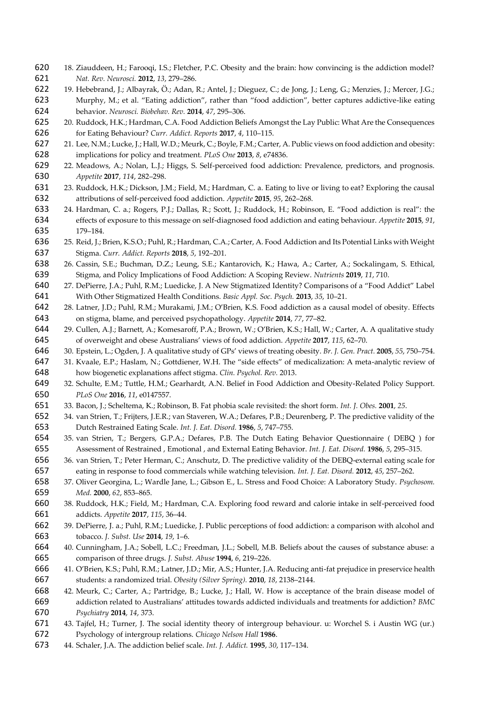- 18. Ziauddeen, H.; Farooqi, I.S.; Fletcher, P.C. Obesity and the brain: how convincing is the addiction model? *Nat. Rev. Neurosci.* **2012**, *13*, 279–286.
- 19. Hebebrand, J.; Albayrak, Ö.; Adan, R.; Antel, J.; Dieguez, C.; de Jong, J.; Leng, G.; Menzies, J.; Mercer, J.G.; Murphy, M.; et al. "Eating addiction", rather than "food addiction", better captures addictive-like eating behavior. *Neurosci. Biobehav. Rev.* **2014**, *47*, 295–306.
- 20. Ruddock, H.K.; Hardman, C.A. Food Addiction Beliefs Amongst the Lay Public: What Are the Consequences for Eating Behaviour? *Curr. Addict. Reports* **2017**, *4*, 110–115.
- 21. Lee, N.M.; Lucke, J.; Hall, W.D.; Meurk, C.; Boyle, F.M.; Carter, A. Public views on food addiction and obesity: implications for policy and treatment. *PLoS One* **2013**, *8*, e74836.
- 22. Meadows, A.; Nolan, L.J.; Higgs, S. Self-perceived food addiction: Prevalence, predictors, and prognosis. *Appetite* **2017**, *114*, 282–298.
- 23. Ruddock, H.K.; Dickson, J.M.; Field, M.; Hardman, C. a. Eating to live or living to eat? Exploring the causal attributions of self-perceived food addiction. *Appetite* **2015**, *95*, 262–268.
- 24. Hardman, C. a.; Rogers, P.J.; Dallas, R.; Scott, J.; Ruddock, H.; Robinson, E. "Food addiction is real": the effects of exposure to this message on self-diagnosed food addiction and eating behaviour. *Appetite* **2015**, *91*, 179–184.
- 25. Reid, J.; Brien, K.S.O.; Puhl, R.; Hardman, C.A.; Carter, A. Food Addiction and Its Potential Links with Weight Stigma. *Curr. Addict. Reports* **2018**, *5*, 192–201.
- 26. Cassin, S.E.; Buchman, D.Z.; Leung, S.E.; Kantarovich, K.; Hawa, A.; Carter, A.; Sockalingam, S. Ethical, Stigma, and Policy Implications of Food Addiction: A Scoping Review. *Nutrients* **2019**, *11*, 710.
- 27. DePierre, J.A.; Puhl, R.M.; Luedicke, J. A New Stigmatized Identity? Comparisons of a "Food Addict" Label With Other Stigmatized Health Conditions. *Basic Appl. Soc. Psych.* **2013**, *35*, 10–21.
- 28. Latner, J.D.; Puhl, R.M.; Murakami, J.M.; O'Brien, K.S. Food addiction as a causal model of obesity. Effects on stigma, blame, and perceived psychopathology. *Appetite* **2014**, *77*, 77–82.
- 29. Cullen, A.J.; Barnett, A.; Komesaroff, P.A.; Brown, W.; O'Brien, K.S.; Hall, W.; Carter, A. A qualitative study of overweight and obese Australians' views of food addiction. *Appetite* **2017**, *115*, 62–70.
- 30. Epstein, L.; Ogden, J. A qualitative study of GPs' views of treating obesity. *Br. J. Gen. Pract.* **2005**, *55*, 750–754.
- 31. Kvaale, E.P.; Haslam, N.; Gottdiener, W.H. The "side effects" of medicalization: A meta-analytic review of how biogenetic explanations affect stigma. *Clin. Psychol. Rev.* 2013.
- 32. Schulte, E.M.; Tuttle, H.M.; Gearhardt, A.N. Belief in Food Addiction and Obesity-Related Policy Support. *PLoS One* **2016**, *11*, e0147557.
- 33. Bacon, J.; Scheltema, K.; Robinson, B. Fat phobia scale revisited: the short form. *Int. J. Obes.* **2001**, *25*.
- 34. van Strien, T.; Frijters, J.E.R.; van Staveren, W.A.; Defares, P.B.; Deurenberg, P. The predictive validity of the Dutch Restrained Eating Scale. *Int. J. Eat. Disord.* **1986**, *5*, 747–755.
- 35. van Strien, T.; Bergers, G.P.A.; Defares, P.B. The Dutch Eating Behavior Questionnaire ( DEBQ ) for Assessment of Restrained , Emotional , and External Eating Behavior. *Int. J. Eat. Disord.* **1986**, *5*, 295–315.
- 36. van Strien, T.; Peter Herman, C.; Anschutz, D. The predictive validity of the DEBQ-external eating scale for eating in response to food commercials while watching television. *Int. J. Eat. Disord.* **2012**, *45*, 257–262.
- 37. Oliver Georgina, L.; Wardle Jane, L.; Gibson E., L. Stress and Food Choice: A Laboratory Study. *Psychosom. Med.* **2000**, *62*, 853–865.
- 38. Ruddock, H.K.; Field, M.; Hardman, C.A. Exploring food reward and calorie intake in self-perceived food addicts. *Appetite* **2017**, *115*, 36–44.
- 39. DePierre, J. a.; Puhl, R.M.; Luedicke, J. Public perceptions of food addiction: a comparison with alcohol and tobacco. *J. Subst. Use* **2014**, *19*, 1–6.
- 40. Cunningham, J.A.; Sobell, L.C.; Freedman, J.L.; Sobell, M.B. Beliefs about the causes of substance abuse: a comparison of three drugs. *J. Subst. Abuse* **1994**, *6*, 219–226.
- 41. O'Brien, K.S.; Puhl, R.M.; Latner, J.D.; Mir, A.S.; Hunter, J.A. Reducing anti-fat prejudice in preservice health students: a randomized trial. *Obesity (Silver Spring).* **2010**, *18*, 2138–2144.
- 42. Meurk, C.; Carter, A.; Partridge, B.; Lucke, J.; Hall, W. How is acceptance of the brain disease model of addiction related to Australians' attitudes towards addicted individuals and treatments for addiction? *BMC Psychiatry* **2014**, *14*, 373.
- 43. Tajfel, H.; Turner, J. The social identity theory of intergroup behaviour. u: Worchel S. i Austin WG (ur.) Psychology of intergroup relations. *Chicago Nelson Hall* **1986**.
- 44. Schaler, J.A. The addiction belief scale. *Int. J. Addict.* **1995**, *30*, 117–134.